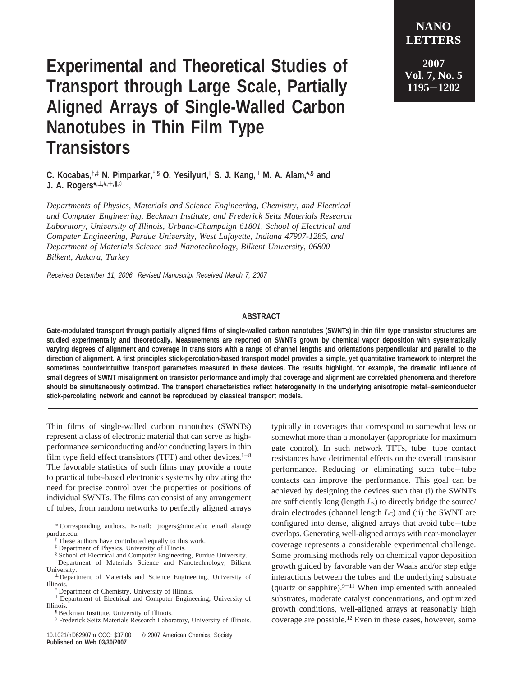## **Experimental and Theoretical Studies of Transport through Large Scale, Partially Aligned Arrays of Single-Walled Carbon Nanotubes in Thin Film Type Transistors**

**2007 Vol. 7, No. 5 <sup>1195</sup>**-**<sup>1202</sup>**

**NANO LETTERS**

**C. Kocabas,†,‡ N. Pimparkar,†,§ O. Yesilyurt,**<sup>|</sup> **S. J. Kang,**<sup>⊥</sup> **M. A. Alam,\*,§ and J. A. Rogers\*,**⊥**,#,**+**,¶,**)

*Departments of Physics, Materials and Science Engineering, Chemistry, and Electrical and Computer Engineering, Beckman Institute, and Frederick Seitz Materials Research* Laboratory, University of Illinois, Urbana-Champaign 61801, School of Electrical and *Computer Engineering, Purdue University, West Lafayette, Indiana 47907-1285, and Department of Materials Science and Nanotechnology, Bilkent University, 06800 Bilkent, Ankara, Turkey*

Received December 11, 2006; Revised Manuscript Received March 7, 2007

## **ABSTRACT**

**Gate-modulated transport through partially aligned films of single-walled carbon nanotubes (SWNTs) in thin film type transistor structures are studied experimentally and theoretically. Measurements are reported on SWNTs grown by chemical vapor deposition with systematically varying degrees of alignment and coverage in transistors with a range of channel lengths and orientations perpendicular and parallel to the direction of alignment. A first principles stick-percolation-based transport model provides a simple, yet quantitative framework to interpret the sometimes counterintuitive transport parameters measured in these devices. The results highlight, for example, the dramatic influence of small degrees of SWNT misalignment on transistor performance and imply that coverage and alignment are correlated phenomena and therefore should be simultaneously optimized. The transport characteristics reflect heterogeneity in the underlying anisotropic metal**−**semiconductor stick-percolating network and cannot be reproduced by classical transport models.**

Thin films of single-walled carbon nanotubes (SWNTs) represent a class of electronic material that can serve as highperformance semiconducting and/or conducting layers in thin film type field effect transistors (TFT) and other devices.<sup>1-8</sup> The favorable statistics of such films may provide a route to practical tube-based electronics systems by obviating the need for precise control over the properties or positions of individual SWNTs. The films can consist of any arrangement of tubes, from random networks to perfectly aligned arrays

‡ Department of Physics, University of Illinois.

¶ Beckman Institute, University of Illinois.

typically in coverages that correspond to somewhat less or somewhat more than a monolayer (appropriate for maximum gate control). In such network TFTs, tube-tube contact resistances have detrimental effects on the overall transistor performance. Reducing or eliminating such tube-tube contacts can improve the performance. This goal can be achieved by designing the devices such that (i) the SWNTs are sufficiently long (length  $L<sub>S</sub>$ ) to directly bridge the source/ drain electrodes (channel length  $L<sub>C</sub>$ ) and (ii) the SWNT are configured into dense, aligned arrays that avoid tube-tube overlaps. Generating well-aligned arrays with near-monolayer coverage represents a considerable experimental challenge. Some promising methods rely on chemical vapor deposition growth guided by favorable van der Waals and/or step edge interactions between the tubes and the underlying substrate (quartz or sapphire). $9-11$  When implemented with annealed substrates, moderate catalyst concentrations, and optimized growth conditions, well-aligned arrays at reasonably high coverage are possible.12 Even in these cases, however, some

<sup>\*</sup> Corresponding authors. E-mail: jrogers@uiuc.edu; email alam@ purdue.edu.

<sup>†</sup> These authors have contributed equally to this work.

<sup>§</sup> School of Electrical and Computer Engineering, Purdue University.

<sup>|</sup> Department of Materials Science and Nanotechnology, Bilkent

University.<br>⊥ Department of Materials and Science Engineering, University of Illinois.

<sup>#</sup> Department of Chemistry, University of Illinois.

<sup>+</sup> Department of Electrical and Computer Engineering, University of Illinois.

 $\diamond$  Frederick Seitz Materials Research Laboratory, University of Illinois.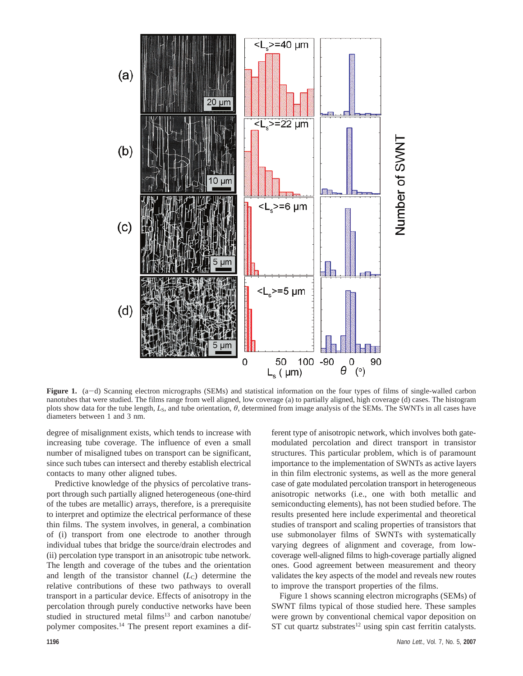

**Figure 1.** (a-d) Scanning electron micrographs (SEMs) and statistical information on the four types of films of single-walled carbon nanotubes that were studied. The films range from well aligned, low coverage (a) to partially aligned, high coverage (d) cases. The histogram plots show data for the tube length, *L*S, and tube orientation, *θ*, determined from image analysis of the SEMs. The SWNTs in all cases have diameters between 1 and 3 nm.

degree of misalignment exists, which tends to increase with increasing tube coverage. The influence of even a small number of misaligned tubes on transport can be significant, since such tubes can intersect and thereby establish electrical contacts to many other aligned tubes.

Predictive knowledge of the physics of percolative transport through such partially aligned heterogeneous (one-third of the tubes are metallic) arrays, therefore, is a prerequisite to interpret and optimize the electrical performance of these thin films. The system involves, in general, a combination of (i) transport from one electrode to another through individual tubes that bridge the source/drain electrodes and (ii) percolation type transport in an anisotropic tube network. The length and coverage of the tubes and the orientation and length of the transistor channel  $(L<sub>C</sub>)$  determine the relative contributions of these two pathways to overall transport in a particular device. Effects of anisotropy in the percolation through purely conductive networks have been studied in structured metal films<sup>13</sup> and carbon nanotube/ polymer composites.14 The present report examines a different type of anisotropic network, which involves both gatemodulated percolation and direct transport in transistor structures. This particular problem, which is of paramount importance to the implementation of SWNTs as active layers in thin film electronic systems, as well as the more general case of gate modulated percolation transport in heterogeneous anisotropic networks (i.e., one with both metallic and semiconducting elements), has not been studied before. The results presented here include experimental and theoretical studies of transport and scaling properties of transistors that use submonolayer films of SWNTs with systematically varying degrees of alignment and coverage, from lowcoverage well-aligned films to high-coverage partially aligned ones. Good agreement between measurement and theory validates the key aspects of the model and reveals new routes to improve the transport properties of the films.

Figure 1 shows scanning electron micrographs (SEMs) of SWNT films typical of those studied here. These samples were grown by conventional chemical vapor deposition on  $ST$  cut quartz substrates<sup>12</sup> using spin cast ferritin catalysts.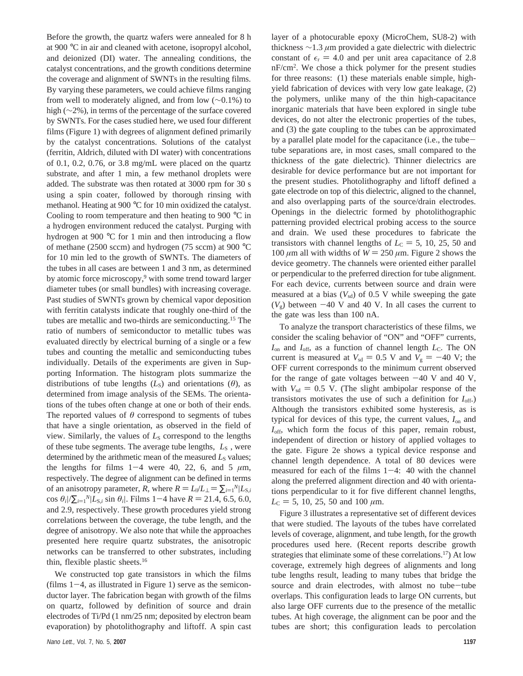Before the growth, the quartz wafers were annealed for 8 h at 900 °C in air and cleaned with acetone, isopropyl alcohol, and deionized (DI) water. The annealing conditions, the catalyst concentrations, and the growth conditions determine the coverage and alignment of SWNTs in the resulting films. By varying these parameters, we could achieve films ranging from well to moderately aligned, and from low (∼0.1%) to high (∼2%), in terms of the percentage of the surface covered by SWNTs. For the cases studied here, we used four different films (Figure 1) with degrees of alignment defined primarily by the catalyst concentrations. Solutions of the catalyst (ferritin, Aldrich, diluted with DI water) with concentrations of 0.1, 0.2, 0.76, or 3.8 mg/mL were placed on the quartz substrate, and after 1 min, a few methanol droplets were added. The substrate was then rotated at 3000 rpm for 30 s using a spin coater, followed by thorough rinsing with methanol. Heating at 900 °C for 10 min oxidized the catalyst. Cooling to room temperature and then heating to 900 °C in a hydrogen environment reduced the catalyst. Purging with hydrogen at 900 °C for 1 min and then introducing a flow of methane (2500 sccm) and hydrogen (75 sccm) at 900 °C for 10 min led to the growth of SWNTs. The diameters of the tubes in all cases are between 1 and 3 nm, as determined by atomic force microscopy,<sup>9</sup> with some trend toward larger diameter tubes (or small bundles) with increasing coverage. Past studies of SWNTs grown by chemical vapor deposition with ferritin catalysts indicate that roughly one-third of the tubes are metallic and two-thirds are semiconducting.15 The ratio of numbers of semiconductor to metallic tubes was evaluated directly by electrical burning of a single or a few tubes and counting the metallic and semiconducting tubes individually. Details of the experiments are given in Supporting Information. The histogram plots summarize the distributions of tube lengths  $(L<sub>S</sub>)$  and orientations  $(\theta)$ , as determined from image analysis of the SEMs. The orientations of the tubes often change at one or both of their ends. The reported values of  $\theta$  correspond to segments of tubes that have a single orientation, as observed in the field of view. Similarly, the values of  $L<sub>S</sub>$  correspond to the lengths of these tube segments. The average tube lengths,  $\langle L_s \rangle$ , were determined by the arithmetic mean of the measured  $L<sub>S</sub>$  values; the lengths for films  $1-4$  were 40, 22, 6, and 5  $\mu$ m, respectively. The degree of alignment can be defined in terms of an anisotropy parameter, *R*, where  $R = L_1/L_1 = \sum_{i=1}^{N}L_2$ ,<br>cos  $R_1/\sum_{i=1}^{N}L_2$ ,  $\sum_{i=1}^{N}L_i$ ,  $\sum_{i=1}^{N}L_i$ ,  $\sum_{i=1}^{N}L_i$  $\cos \theta_i / \sum_{i=1}^N |L_{S,i} \sin \theta_i|$ . Films 1–4 have  $R = 21.4$ , 6.5, 6.0, and 2.9 respectively. These growth procedures vield strong and 2.9, respectively. These growth procedures yield strong correlations between the coverage, the tube length, and the degree of anisotropy. We also note that while the approaches presented here require quartz substrates, the anisotropic networks can be transferred to other substrates, including thin, flexible plastic sheets.16

We constructed top gate transistors in which the films  $(films 1-4, as illustrated in Figure 1)$  serve as the semiconductor layer. The fabrication began with growth of the films on quartz, followed by definition of source and drain electrodes of Ti/Pd (1 nm/25 nm; deposited by electron beam evaporation) by photolithography and liftoff. A spin cast layer of a photocurable epoxy (MicroChem, SU8-2) with thickness ∼1.3 *µ*m provided a gate dielectric with dielectric constant of  $\epsilon$ <sub>r</sub> = 4.0 and per unit area capacitance of 2.8 nF/cm2 . We chose a thick polymer for the present studies for three reasons: (1) these materials enable simple, highyield fabrication of devices with very low gate leakage, (2) the polymers, unlike many of the thin high-capacitance inorganic materials that have been explored in single tube devices, do not alter the electronic properties of the tubes, and (3) the gate coupling to the tubes can be approximated by a parallel plate model for the capacitance (i.e., the tubetube separations are, in most cases, small compared to the thickness of the gate dielectric). Thinner dielectrics are desirable for device performance but are not important for the present studies. Photolithography and liftoff defined a gate electrode on top of this dielectric, aligned to the channel, and also overlapping parts of the source/drain electrodes. Openings in the dielectric formed by photolithographic patterning provided electrical probing access to the source and drain. We used these procedures to fabricate the transistors with channel lengths of  $L<sub>C</sub> = 5, 10, 25, 50$  and 100  $\mu$ m all with widths of  $W = 250 \mu$ m. Figure 2 shows the device geometry. The channels were oriented either parallel or perpendicular to the preferred direction for tube alignment. For each device, currents between source and drain were measured at a bias  $(V_{sd})$  of 0.5 V while sweeping the gate  $(V<sub>g</sub>)$  between  $-40$  V and 40 V. In all cases the current to the gate was less than 100 nA.

To analyze the transport characteristics of these films, we consider the scaling behavior of "ON" and "OFF" currents, *I*<sub>on</sub> and *I*<sub>off</sub>, as a function of channel length *L*<sub>C</sub>. The ON current is measured at  $V_{sd} = 0.5$  V and  $V_g = -40$  V; the OFF current corresponds to the minimum current observed for the range of gate voltages between  $-40$  V and 40 V, with  $V_{sd} = 0.5$  V. (The slight ambipolar response of the transistors motivates the use of such a definition for *I*off.) Although the transistors exhibited some hysteresis, as is typical for devices of this type, the current values, *I*on and *I*<sub>off</sub>, which form the focus of this paper, remain robust, independent of direction or history of applied voltages to the gate. Figure 2e shows a typical device response and channel length dependence. A total of 80 devices were measured for each of the films  $1-4$ : 40 with the channel along the preferred alignment direction and 40 with orientations perpendicular to it for five different channel lengths,  $L<sub>C</sub> = 5, 10, 25, 50$  and 100  $\mu$ m.

Figure 3 illustrates a representative set of different devices that were studied. The layouts of the tubes have correlated levels of coverage, alignment, and tube length, for the growth procedures used here. (Recent reports describe growth strategies that eliminate some of these correlations.<sup>17</sup>) At low coverage, extremely high degrees of alignments and long tube lengths result, leading to many tubes that bridge the source and drain electrodes, with almost no tube-tube overlaps. This configuration leads to large ON currents, but also large OFF currents due to the presence of the metallic tubes. At high coverage, the alignment can be poor and the tubes are short; this configuration leads to percolation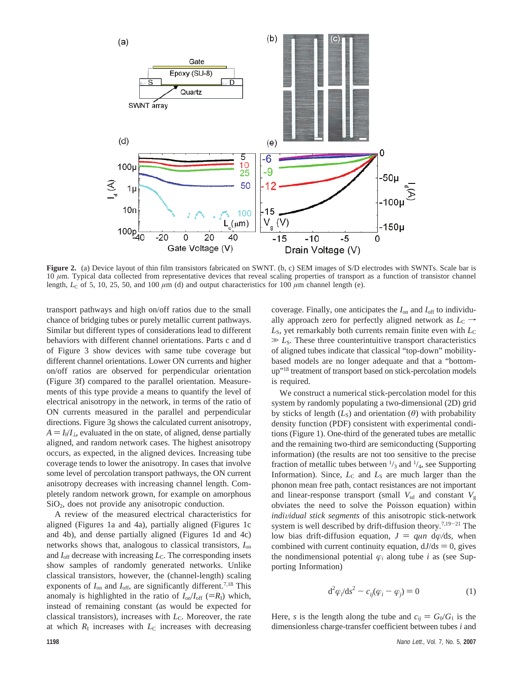

Figure 2. (a) Device layout of thin film transistors fabricated on SWNT. (b, c) SEM images of S/D electrodes with SWNTs. Scale bar is 10 μm. Typical data collected from representative devices that reveal scaling properties of transport as a function of transistor channel length,  $L_C$  of 5, 10, 25, 50, and 100  $\mu$ m (d) and output characteristics for 100  $\mu$ m channel length (e).

transport pathways and high on/off ratios due to the small chance of bridging tubes or purely metallic current pathways. Similar but different types of considerations lead to different behaviors with different channel orientations. Parts c and d of Figure 3 show devices with same tube coverage but different channel orientations. Lower ON currents and higher on/off ratios are observed for perpendicular orientation (Figure 3f) compared to the parallel orientation. Measurements of this type provide a means to quantify the level of electrical anisotropy in the network, in terms of the ratio of ON currents measured in the parallel and perpendicular directions. Figure 3g shows the calculated current anisotropy,  $A = I_{\parallel}/I_{\perp}$ , evaluated in the on state, of aligned, dense partially aligned, and random network cases. The highest anisotropy occurs, as expected, in the aligned devices. Increasing tube coverage tends to lower the anisotropy. In cases that involve some level of percolation transport pathways, the ON current anisotropy decreases with increasing channel length. Completely random network grown, for example on amorphous SiO2, does not provide any anisotropic conduction.

A review of the measured electrical characteristics for aligned (Figures 1a and 4a), partially aligned (Figures 1c and 4b), and dense partially aligned (Figures 1d and 4c) networks shows that, analogous to classical transistors, *I*on and  $I_{\text{off}}$  decrease with increasing  $L_{\text{C}}$ . The corresponding insets show samples of randomly generated networks. Unlike classical transistors, however, the (channel-length) scaling exponents of  $I_{on}$  and  $I_{off}$ , are significantly different.<sup>7,18</sup> This anomaly is highlighted in the ratio of  $I_{on}/I_{off}$  (= $R_I$ ) which, instead of remaining constant (as would be expected for classical transistors), increases with *L*<sub>C</sub>. Moreover, the rate at which  $R<sub>I</sub>$  increases with  $L<sub>C</sub>$  increases with decreasing coverage. Finally, one anticipates the  $I_{on}$  and  $I_{off}$  to individually approach zero for perfectly aligned network as  $L<sub>C</sub> \rightarrow$  $L<sub>S</sub>$ , yet remarkably both currents remain finite even with  $L<sub>C</sub>$  $\gg L$ <sub>S</sub>. These three counterintuitive transport characteristics of aligned tubes indicate that classical "top-down" mobilitybased models are no longer adequate and that a "bottomup"18 treatment of transport based on stick-percolation models is required.

We construct a numerical stick-percolation model for this system by randomly populating a two-dimensional (2D) grid by sticks of length  $(L<sub>S</sub>)$  and orientation  $(\theta)$  with probability density function (PDF) consistent with experimental conditions (Figure 1). One-third of the generated tubes are metallic and the remaining two-third are semiconducting (Supporting information) (the results are not too sensitive to the precise fraction of metallic tubes between  $\frac{1}{3}$  and  $\frac{1}{4}$ , see Supporting Information). Since,  $L<sub>C</sub>$  and  $L<sub>S</sub>$  are much larger than the phonon mean free path, contact resistances are not important and linear-response transport (small  $V_{sd}$  and constant  $V_g$ obviates the need to solve the Poisson equation) within *individual stick segments* of this anisotropic stick-network system is well described by drift-diffusion theory.<sup>7,19-21</sup> The low bias drift-diffusion equation,  $J = q \mu n \, d\varphi/ds$ , when combined with current continuity equation,  $dJ/ds = 0$ , gives the nondimensional potential  $\varphi_i$  along tube *i* as (see Supporting Information)

$$
\mathrm{d}^2 \varphi_i / \mathrm{d} s^2 - c_{ij} (\varphi_i - \varphi_j) = 0 \tag{1}
$$

Here, *s* is the length along the tube and  $c_{ii} = G_0/G_1$  is the dimensionless charge-transfer coefficient between tubes *i* and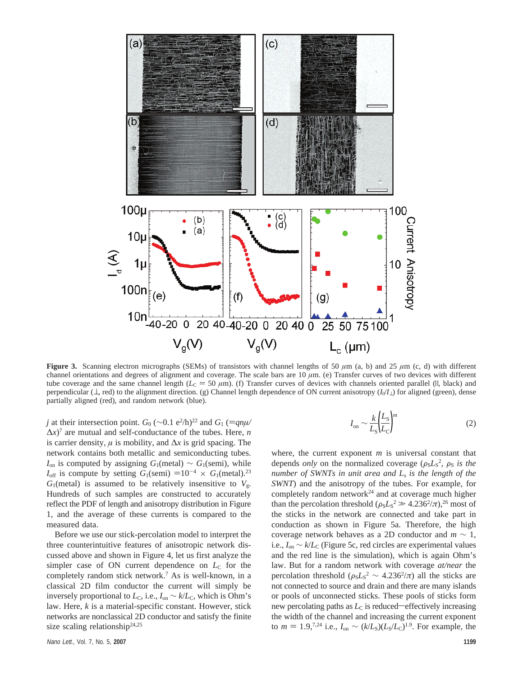

**Figure 3.** Scanning electron micrographs (SEMs) of transistors with channel lengths of 50  $\mu$ m (a, b) and 25  $\mu$ m (c, d) with different channel orientations and degrees of alignment and coverage. The scale bars are 10 *µ*m. (e) Transfer curves of two devices with different tube coverage and the same channel length ( $L<sub>C</sub> = 50 \mu m$ ). (f) Transfer curves of devices with channels oriented parallel (II, black) and perpendicular (⊥, red) to the alignment direction. (g) Channel length dependence of ON current anisotropy (*I*|/*I*⊥) for aligned (green), dense partially aligned (red), and random network (blue).

*j* at their intersection point.  $G_0$  (∼0.1 e<sup>2</sup>/h)<sup>22</sup> and  $G_1$  ( $\equiv$ *qnµ/*<br> $\Delta x$ <sup>7</sup> are mutual and self-conductance of the tubes. Here *n*  $\Delta x$ <sup>7</sup> are mutual and self-conductance of the tubes. Here, *n* is carrier density, *µ* is mobility, and ∆*x* is grid spacing. The network contains both metallic and semiconducting tubes.  $I_{on}$  is computed by assigning  $G_1$ (metal) ~  $G_1$ (semi), while  $I_{\text{off}}$  is compute by setting  $G_1(\text{semi}) = 10^{-4} \times G_1(\text{metal})$ .<sup>23</sup>  $G_1$ (metal) is assumed to be relatively insensitive to  $V_g$ . Hundreds of such samples are constructed to accurately reflect the PDF of length and anisotropy distribution in Figure 1, and the average of these currents is compared to the measured data.

Before we use our stick-percolation model to interpret the three counterintuitive features of anisotropic network discussed above and shown in Figure 4, let us first analyze the simpler case of ON current dependence on  $L<sub>C</sub>$  for the completely random stick network.7 As is well-known, in a classical 2D film conductor the current will simply be inversely proportional to  $L_c$ , i.e.,  $I_{on} \sim k/L_c$ , which is Ohm's law. Here, *k* is a material-specific constant. However, stick networks are nonclassical 2D conductor and satisfy the finite size scaling relationship<sup>24,25</sup>

$$
I_{\rm on} \sim \frac{k}{L_{\rm S}} \left(\frac{L_{\rm S}}{L_{\rm C}}\right)^m \tag{2}
$$

where, the current exponent *m* is universal constant that depends *only* on the normalized coverage  $(\rho_S L_S^2, \rho_S)$  *is the*<br>*number of SWNTs in unit area and L is the length of the number of SWNTs in unit area and L*<sup>s</sup> *is the length of the SWNT*) and the anisotropy of the tubes. For example, for completely random network<sup>24</sup> and at coverage much higher than the percolation threshold  $(\rho_S L_S^2 \gg 4.236^2/\pi)$ ,<sup>26</sup> most of<br>the sticks in the network are connected and take part in the sticks in the network are connected and take part in conduction as shown in Figure 5a. Therefore, the high coverage network behaves as a 2D conductor and *m* ∼ 1, i.e.,  $I_{on}$  ∼  $k/L$ <sub>C</sub> (Figure 5c, red circles are experimental values and the red line is the simulation), which is again Ohm's law. But for a random network with coverage *at/near* the percolation threshold  $(\rho_S L_S^2 \sim 4.236^2/\pi)$  all the sticks are<br>not connected to source and drain and there are many islands not connected to source and drain and there are many islands or pools of unconnected sticks. These pools of sticks form new percolating paths as  $L<sub>C</sub>$  is reduced—effectively increasing the width of the channel and increasing the current exponent to  $m = 1.9$ <sup>7,24</sup> i.e.,  $I_{on} \sim (k/L_s)(L_s/L_c)^{1.9}$ . For example, the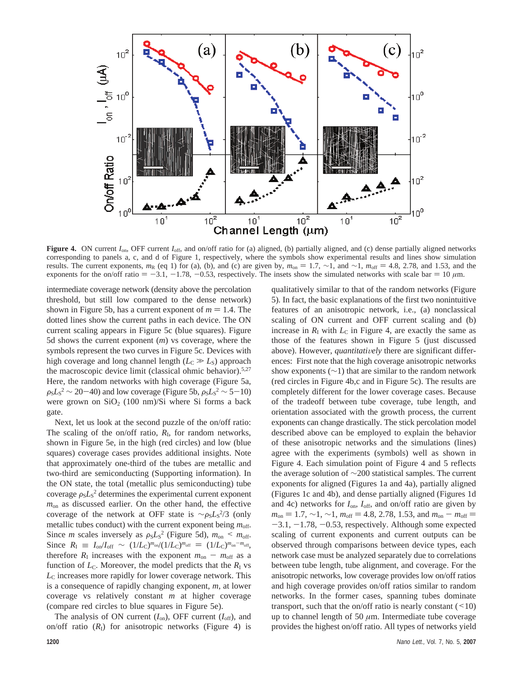

**Figure 4.** ON current  $I_{on}$ , OFF current  $I_{off}$ , and on/off ratio for (a) aligned, (b) partially aligned, and (c) dense partially aligned networks corresponding to panels a, c, and d of Figure 1, respectively, where the symbols show experimental results and lines show simulation results. The current exponents,  $m_R$  (eq 1) for (a), (b), and (c) are given by,  $m_{on} = 1.7$ , ∼1, and ∼1,  $m_{off} = 4.8$ , 2.78, and 1.53, and the exponents for the on/off ratio  $= -3.1, -1.78, -0.53$ , respectively. The insets show the simulated networks with scale bar  $= 10 \mu m$ .

intermediate coverage network (density above the percolation threshold, but still low compared to the dense network) shown in Figure 5b, has a current exponent of  $m = 1.4$ . The dotted lines show the current paths in each device. The ON current scaling appears in Figure 5c (blue squares). Figure 5d shows the current exponent (*m*) vs coverage, where the symbols represent the two curves in Figure 5c. Devices with high coverage and long channel length  $(L<sub>C</sub> \gg L<sub>S</sub>)$  approach the macroscopic device limit (classical ohmic behavior).5,27 Here, the random networks with high coverage (Figure 5a,  $\rho_S L_S^2 \sim 20 - 40$ ) and low coverage (Figure 5b,  $\rho_S L_S^2 \sim 5 - 10$ )<br>were grown on SiO<sub>2</sub> (100 nm)/Si where Si forms a back were grown on  $SiO<sub>2</sub>$  (100 nm)/Si where Si forms a back gate.

Next, let us look at the second puzzle of the on/off ratio: The scaling of the on/off ratio,  $R<sub>I</sub>$ , for random networks, shown in Figure 5e, in the high (red circles) and low (blue squares) coverage cases provides additional insights. Note that approximately one-third of the tubes are metallic and two-third are semiconducting (Supporting information). In the ON state, the total (metallic plus semiconducting) tube coverage  $\rho_S L_S^2$  determines the experimental current exponent  $m$  as discussed earlier. On the other hand, the effective *m*on as discussed earlier. On the other hand, the effective coverage of the network at OFF state is  $\sim \rho_S L_S^2/3$  (only metallic tubes conduct) with the current exponent being *m* metallic tubes conduct) with the current exponent being  $m_{\text{off}}$ . Since *m* scales inversely as  $\rho_S L_S^2$  (Figure 5d),  $m_{on} \le m_{off}$ .<br>Since  $R_s = I/I \approx \sim (1/I \text{ s})^{m_{on}/(1/I \text{ s})^{m_{off}}} = (1/I \text{ s})^{m_{on} - m_{off}}$ . Since  $R_{\rm I} \equiv I_{\rm on}/I_{\rm off} \sim (1/L_{\rm C})^{m_{\rm on}}/(1/L_{\rm C})^{m_{\rm off}} = (1/L_{\rm C})^{m_{\rm on}-m_{\rm off}}$ therefore  $R_{\rm I}$  increases with the exponent  $m_{\rm on} - m_{\rm off}$  as a function of  $L<sub>C</sub>$ . Moreover, the model predicts that the  $R<sub>I</sub>$  vs *L*<sup>C</sup> increases more rapidly for lower coverage network. This is a consequence of rapidly changing exponent, *m*, at lower coverage vs relatively constant *m* at higher coverage (compare red circles to blue squares in Figure 5e).

The analysis of ON current  $(I_{on})$ , OFF current  $(I_{off})$ , and on/off ratio  $(R<sub>I</sub>)$  for anisotropic networks (Figure 4) is

qualitatively similar to that of the random networks (Figure 5). In fact, the basic explanations of the first two nonintuitive features of an anisotropic network, i.e., (a) nonclassical scaling of ON current and OFF current scaling and (b) increase in  $R<sub>I</sub>$  with  $L<sub>C</sub>$  in Figure 4, are exactly the same as those of the features shown in Figure 5 (just discussed above). However, *quantitatively* there are significant differences: First note that the high coverage anisotropic networks show exponents  $(\sim 1)$  that are similar to the random network (red circles in Figure 4b,c and in Figure 5c). The results are completely different for the lower coverage cases. Because of the tradeoff between tube coverage, tube length, and orientation associated with the growth process, the current exponents can change drastically. The stick percolation model described above can be employed to explain the behavior of these anisotropic networks and the simulations (lines) agree with the experiments (symbols) well as shown in Figure 4. Each simulation point of Figure 4 and 5 reflects the average solution of ∼200 statistical samples. The current exponents for aligned (Figures 1a and 4a), partially aligned (Figures 1c and 4b), and dense partially aligned (Figures 1d and 4c) networks for  $I_{on}$ ,  $I_{off}$ , and on/off ratio are given by  $m_{on} = 1.7, \sim 1, \sim 1, m_{off} = 4.8, 2.78, 1.53,$  and  $m_{on} - m_{off} =$  $-3.1, -1.78, -0.53$ , respectively. Although some expected scaling of current exponents and current outputs can be observed through comparisons between device types, each network case must be analyzed separately due to correlations between tube length, tube alignment, and coverage. For the anisotropic networks, low coverage provides low on/off ratios and high coverage provides on/off ratios similar to random networks. In the former cases, spanning tubes dominate transport, such that the on/off ratio is nearly constant  $($  < 10) up to channel length of 50 *µ*m. Intermediate tube coverage provides the highest on/off ratio. All types of networks yield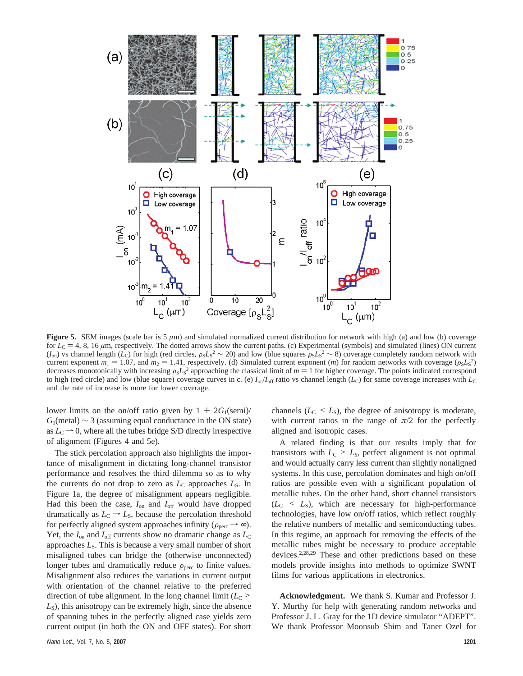

**Figure 5.** SEM images (scale bar is 5  $\mu$ m) and simulated normalized current distribution for network with high (a) and low (b) coverage for  $L<sub>C</sub> = 4, 8, 16 \mu m$ , respectively. The dotted arrows show the current paths. (c) Experimental (symbols) and simulated (lines) ON current  $(I_{on})$  vs channel length (*L<sub>C</sub>*) for high (red circles,  $\rho_S L_S^2 \sim 20$ ) and low (blue squares  $\rho_S L_S^2 \sim 8$ ) coverage completely random network with coverage  $(\rho_S L_S^2)$ <br>current exponent  $m_1 = 1.07$  and  $m_2 = 1.41$  respec current exponent  $m_1 = 1.07$ , and  $m_2 = 1.41$ , respectively. (d) Simulated current exponent (*m*) for random networks with coverage ( $\rho_S L_S^2$ )<br>decreases monotonically with increasing  $\rho_S L_S^2$  approaching the classical l decreases monotonically with increasing  $\rho_S L_S^2$  approaching the classical limit of  $m = 1$  for higher coverage. The points indicated correspond<br>to high (red circle) and low (blue square) coverage curves in c (e)  $L/L$  a r to high (red circle) and low (blue square) coverage curves in c. (e)  $I_{on}/I_{off}$  ratio vs channel length ( $L_{\rm C}$ ) for same coverage increases with  $L_{\rm C}$ and the rate of increase is more for lower coverage.

lower limits on the on/off ratio given by  $1 + 2G_1(\text{semi})/$  $G_1$ (metal) ~ 3 (assuming equal conductance in the ON state) as  $L<sub>C</sub> \rightarrow 0$ , where all the tubes bridge S/D directly irrespective of alignment (Figures 4 and 5e).

The stick percolation approach also highlights the importance of misalignment in dictating long-channel transistor performance and resolves the third dilemma so as to why the currents do not drop to zero as  $L_c$  approaches  $L_s$ . In Figure 1a, the degree of misalignment appears negligible. Had this been the case, *I*on and *I*off would have dropped dramatically as  $L<sub>C</sub> \rightarrow L<sub>S</sub>$ , because the percolation threshold for perfectly aligned system approaches infinity ( $\rho_{\text{perc}} \rightarrow \infty$ ). Yet, the  $I_{on}$  and  $I_{off}$  currents show no dramatic change as  $L_{C}$ approaches  $L<sub>S</sub>$ . This is because a very small number of short misaligned tubes can bridge the (otherwise unconnected) longer tubes and dramatically reduce  $\rho<sub>perc</sub>$  to finite values. Misalignment also reduces the variations in current output with orientation of the channel relative to the preferred direction of tube alignment. In the long channel limit  $(L<sub>C</sub>$ *L*S), this anisotropy can be extremely high, since the absence of spanning tubes in the perfectly aligned case yields zero current output (in both the ON and OFF states). For short channels ( $L_C < L_S$ ), the degree of anisotropy is moderate, with current ratios in the range of  $\pi/2$  for the perfectly aligned and isotropic cases.

A related finding is that our results imply that for transistors with  $L<sub>C</sub> > L<sub>S</sub>$ , perfect alignment is not optimal and would actually carry less current than slightly nonaligned systems. In this case, percolation dominates and high on/off ratios are possible even with a significant population of metallic tubes. On the other hand, short channel transistors  $(L<sub>C</sub> < L<sub>S</sub>)$ , which are necessary for high-performance technologies, have low on/off ratios, which reflect roughly the relative numbers of metallic and semiconducting tubes. In this regime, an approach for removing the effects of the metallic tubes might be necessary to produce acceptable devices.2,28,29 These and other predictions based on these models provide insights into methods to optimize SWNT films for various applications in electronics.

**Acknowledgment.** We thank S. Kumar and Professor J. Y. Murthy for help with generating random networks and Professor J. L. Gray for the 1D device simulator "ADEPT". We thank Professor Moonsub Shim and Taner Ozel for